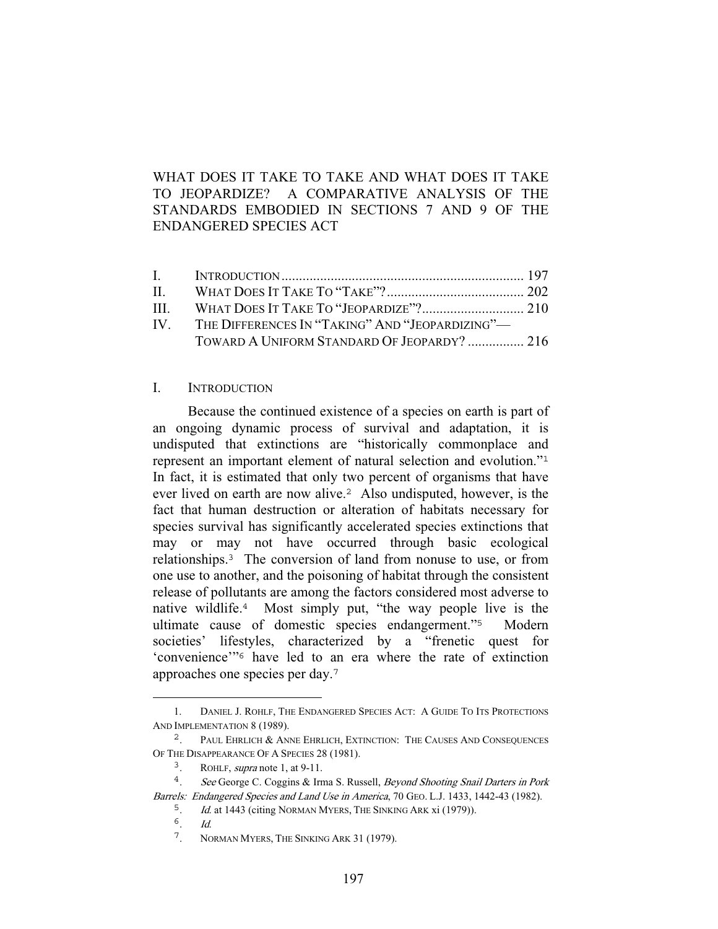# WHAT DOES IT TAKE TO TAKE AND WHAT DOES IT TAKE TO JEOPARDIZE? A COMPARATIVE ANALYSIS OF THE STANDARDS EMBODIED IN SECTIONS 7 AND 9 OF THE ENDANGERED SPECIES ACT

| IV. THE DIFFERENCES IN "TAKING" AND "JEOPARDIZING"- |  |
|-----------------------------------------------------|--|
| TOWARD A UNIFORM STANDARD OF JEOPARDY?  216         |  |
|                                                     |  |

### I. INTRODUCTION

 Because the continued existence of a species on earth is part of an ongoing dynamic process of survival and adaptation, it is undisputed that extinctions are "historically commonplace and represent an important element of natural selection and evolution."<sup>1</sup> In fact, it is estimated that only two percent of organisms that have ever lived on earth are now alive.<sup>2</sup> Also undisputed, however, is the fact that human destruction or alteration of habitats necessary for species survival has significantly accelerated species extinctions that may or may not have occurred through basic ecological relationships.<sup>3</sup> The conversion of land from nonuse to use, or from one use to another, and the poisoning of habitat through the consistent release of pollutants are among the factors considered most adverse to native wildlife.<sup>4</sup> Most simply put, "the way people live is the ultimate cause of domestic species endangerment."<sup>5</sup> Modern societies' lifestyles, characterized by a "frenetic quest for 'convenience'"<sup>6</sup> have led to an era where the rate of extinction approaches one species per day.<sup>7</sup>

<sup>1.</sup> DANIEL J. ROHLF, THE ENDANGERED SPECIES ACT: A GUIDE TO ITS PROTECTIONS AND IMPLEMENTATION 8 (1989).<br><sup>2</sup> PAUL EHRLICH & AN

PAUL EHRLICH & ANNE EHRLICH, EXTINCTION: THE CAUSES AND CONSEQUENCES OF THE DISAPPEARANCE OF A SPECIES 28 (1981).

<sup>3</sup>. ROHLF, supra note 1, at 9-11.

<sup>&</sup>lt;sup>4</sup>. See George C. Coggins & Irma S. Russell, *Beyond Shooting Snail Darters in Pork* Barrels: Endangered Species and Land Use in America, 70 GEO. L.J. 1433, 1442-43 (1982).

<sup>&</sup>lt;sup>5</sup>. *Id.* at 1443 (citing NORMAN MYERS, THE SINKING ARK xi (1979)).

 $6 \over d$ .

<sup>7</sup>. NORMAN MYERS, THE SINKING ARK 31 (1979).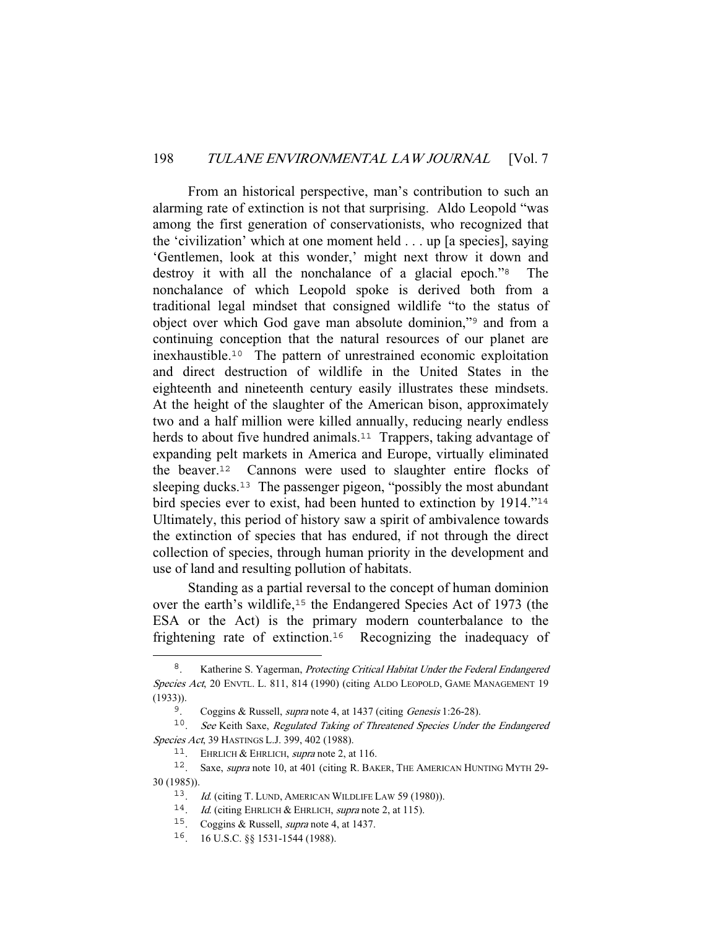From an historical perspective, man's contribution to such an alarming rate of extinction is not that surprising. Aldo Leopold "was among the first generation of conservationists, who recognized that the 'civilization' which at one moment held . . . up [a species], saying 'Gentlemen, look at this wonder,' might next throw it down and destroy it with all the nonchalance of a glacial epoch."<sup>8</sup> The nonchalance of which Leopold spoke is derived both from a traditional legal mindset that consigned wildlife "to the status of object over which God gave man absolute dominion,"<sup>9</sup> and from a continuing conception that the natural resources of our planet are inexhaustible.<sup>10</sup> The pattern of unrestrained economic exploitation and direct destruction of wildlife in the United States in the eighteenth and nineteenth century easily illustrates these mindsets. At the height of the slaughter of the American bison, approximately two and a half million were killed annually, reducing nearly endless herds to about five hundred animals.<sup>11</sup> Trappers, taking advantage of expanding pelt markets in America and Europe, virtually eliminated the beaver.<sup>12</sup> Cannons were used to slaughter entire flocks of sleeping ducks.<sup>13</sup> The passenger pigeon, "possibly the most abundant" bird species ever to exist, had been hunted to extinction by 1914."<sup>14</sup> Ultimately, this period of history saw a spirit of ambivalence towards the extinction of species that has endured, if not through the direct collection of species, through human priority in the development and use of land and resulting pollution of habitats.

 Standing as a partial reversal to the concept of human dominion over the earth's wildlife,<sup>15</sup> the Endangered Species Act of 1973 (the ESA or the Act) is the primary modern counterbalance to the frightening rate of extinction.<sup>16</sup> Recognizing the inadequacy of

<sup>&</sup>lt;sup>8</sup>. Katherine S. Yagerman, *Protecting Critical Habitat Under the Federal Endangered* Species Act, 20 ENVTL. L. 811, 814 (1990) (citing ALDO LEOPOLD, GAME MANAGEMENT 19 (1933)).

<sup>&</sup>lt;sup>9</sup>. Coggins & Russell, *supra* note 4, at 1437 (citing *Genesis* 1:26-28).

 $10.$  See Keith Saxe, Regulated Taking of Threatened Species Under the Endangered Species Act, 39 HASTINGS L.J. 399, 402 (1988).

<sup>&</sup>lt;sup>11</sup>. EHRLICH & EHRLICH, *supra* note 2, at 116.

<sup>12</sup>. Saxe, supra note 10, at 401 (citing R. BAKER, THE AMERICAN HUNTING MYTH 29- 30 (1985)).

<sup>13</sup>. Id. (citing T. LUND, AMERICAN WILDLIFE LAW 59 (1980)).

<sup>&</sup>lt;sup>14</sup>. *Id.* (citing EHRLICH & EHRLICH, *supra* note 2, at 115).

<sup>15</sup>. Coggins & Russell, supra note 4, at 1437.

<sup>16</sup>. 16 U.S.C. §§ 1531-1544 (1988).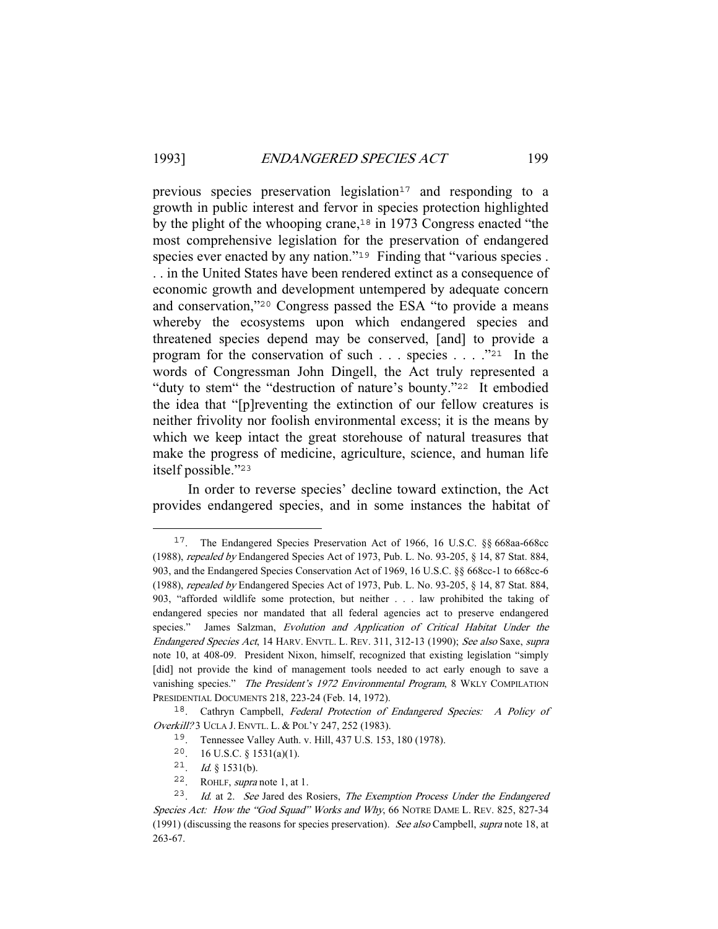previous species preservation legislation<sup>17</sup> and responding to a growth in public interest and fervor in species protection highlighted by the plight of the whooping crane,<sup>18</sup> in 1973 Congress enacted "the most comprehensive legislation for the preservation of endangered species ever enacted by any nation."<sup>19</sup> Finding that "various species. . . in the United States have been rendered extinct as a consequence of economic growth and development untempered by adequate concern and conservation,"<sup>20</sup> Congress passed the ESA "to provide a means whereby the ecosystems upon which endangered species and threatened species depend may be conserved, [and] to provide a program for the conservation of such . . . species . . . ."<sup>21</sup> In the words of Congressman John Dingell, the Act truly represented a "duty to stem" the "destruction of nature's bounty."<sup>22</sup> It embodied the idea that "[p]reventing the extinction of our fellow creatures is neither frivolity nor foolish environmental excess; it is the means by which we keep intact the great storehouse of natural treasures that make the progress of medicine, agriculture, science, and human life itself possible."<sup>23</sup>

 In order to reverse species' decline toward extinction, the Act provides endangered species, and in some instances the habitat of

<sup>17</sup>. The Endangered Species Preservation Act of 1966, 16 U.S.C. §§ 668aa-668cc (1988), repealed by Endangered Species Act of 1973, Pub. L. No. 93-205, § 14, 87 Stat. 884, 903, and the Endangered Species Conservation Act of 1969, 16 U.S.C. §§ 668cc-1 to 668cc-6 (1988), repealed by Endangered Species Act of 1973, Pub. L. No. 93-205, § 14, 87 Stat. 884, 903, "afforded wildlife some protection, but neither . . . law prohibited the taking of endangered species nor mandated that all federal agencies act to preserve endangered species." James Salzman, Evolution and Application of Critical Habitat Under the Endangered Species Act, 14 HARV. ENVTL. L. REV. 311, 312-13 (1990); See also Saxe, supra note 10, at 408-09. President Nixon, himself, recognized that existing legislation "simply [did] not provide the kind of management tools needed to act early enough to save a vanishing species." The President's 1972 Environmental Program, 8 WKLY COMPILATION PRESIDENTIAL DOCUMENTS 218, 223-24 (Feb. 14, 1972).

<sup>&</sup>lt;sup>18</sup>. Cathryn Campbell, Federal Protection of Endangered Species: A Policy of Overkill? 3 UCLA J. ENVTL. L. & POL'Y 247, 252 (1983).

<sup>19</sup>. Tennessee Valley Auth. v. Hill, 437 U.S. 153, 180 (1978).

<sup>20</sup>. 16 U.S.C. § 1531(a)(1).

<sup>21.</sup> *Id.* § 1531(b).

<sup>22</sup>. ROHLF, supra note 1, at 1.

<sup>&</sup>lt;sup>23</sup>. Id. at 2. See Jared des Rosiers, The Exemption Process Under the Endangered Species Act: How the "God Squad" Works and Why, 66 NOTRE DAME L. REV. 825, 827-34 (1991) (discussing the reasons for species preservation). See also Campbell, supra note 18, at 263-67.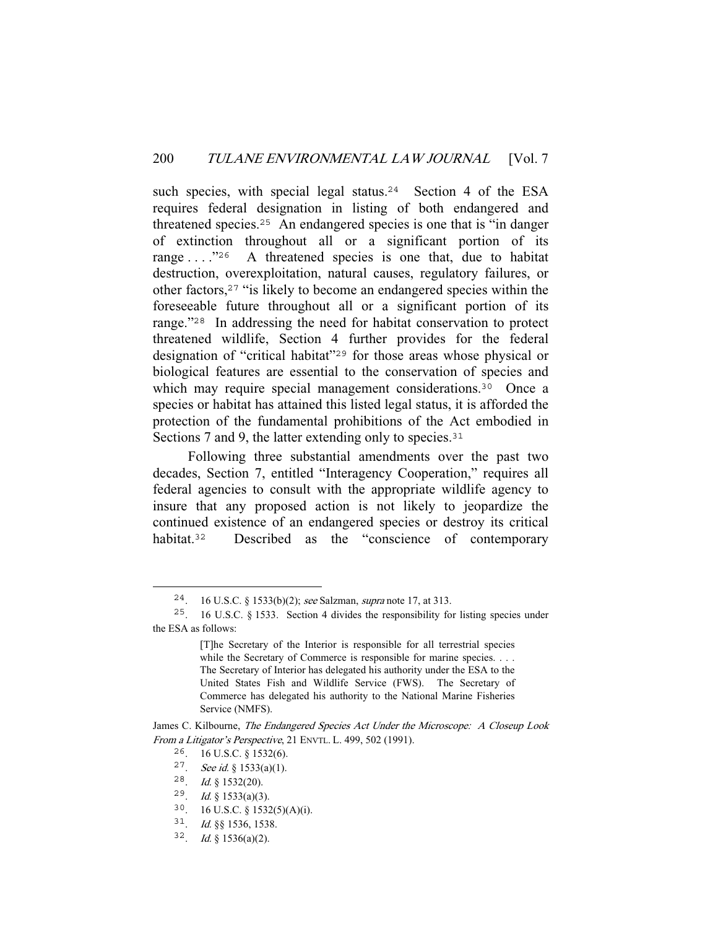such species, with special legal status.<sup>24</sup> Section 4 of the ESA requires federal designation in listing of both endangered and threatened species.<sup>25</sup> An endangered species is one that is "in danger of extinction throughout all or a significant portion of its range . . . . . "26 A threatened species is one that, due to habitat destruction, overexploitation, natural causes, regulatory failures, or other factors,<sup>27</sup> "is likely to become an endangered species within the foreseeable future throughout all or a significant portion of its range."<sup>28</sup> In addressing the need for habitat conservation to protect threatened wildlife, Section 4 further provides for the federal designation of "critical habitat"<sup>29</sup> for those areas whose physical or biological features are essential to the conservation of species and which may require special management considerations.<sup>30</sup> Once a species or habitat has attained this listed legal status, it is afforded the protection of the fundamental prohibitions of the Act embodied in Sections 7 and 9, the latter extending only to species.<sup>31</sup>

 Following three substantial amendments over the past two decades, Section 7, entitled "Interagency Cooperation," requires all federal agencies to consult with the appropriate wildlife agency to insure that any proposed action is not likely to jeopardize the continued existence of an endangered species or destroy its critical habitat.<sup>32</sup> Described as the "conscience of contemporary

<sup>24</sup>. 16 U.S.C. § 1533(b)(2); see Salzman, supra note 17, at 313.

<sup>25</sup>. 16 U.S.C. § 1533. Section 4 divides the responsibility for listing species under the ESA as follows:

<sup>[</sup>T]he Secretary of the Interior is responsible for all terrestrial species while the Secretary of Commerce is responsible for marine species. . . . The Secretary of Interior has delegated his authority under the ESA to the United States Fish and Wildlife Service (FWS). The Secretary of Commerce has delegated his authority to the National Marine Fisheries Service (NMFS).

James C. Kilbourne, The Endangered Species Act Under the Microscope: A Closeup Look From a Litigator's Perspective, 21 ENVTL. L. 499, 502 (1991).

<sup>26</sup>. 16 U.S.C. § 1532(6).

<sup>27</sup>. See id. § 1533(a)(1).

<sup>28</sup>. Id. § 1532(20).

<sup>29.</sup> Id. § 1533(a)(3).

<sup>30</sup>. 16 U.S.C. § 1532(5)(A)(i).

<sup>31</sup>. Id. §§ 1536, 1538.

<sup>32.</sup> *Id.* § 1536(a)(2).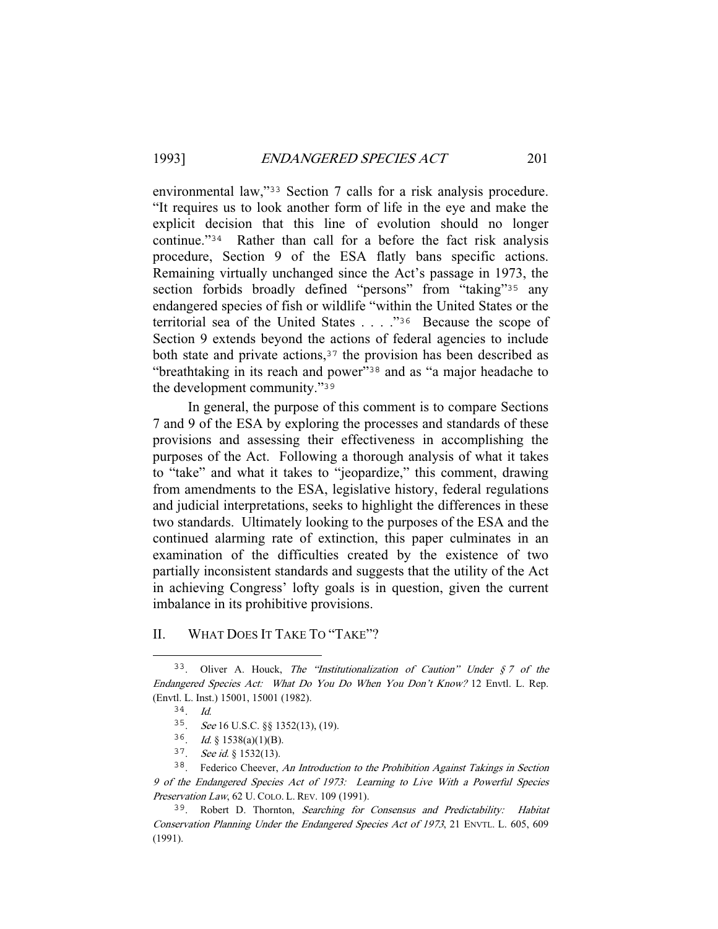environmental law,"<sup>33</sup> Section 7 calls for a risk analysis procedure. "It requires us to look another form of life in the eye and make the explicit decision that this line of evolution should no longer continue."<sup>34</sup> Rather than call for a before the fact risk analysis procedure, Section 9 of the ESA flatly bans specific actions. Remaining virtually unchanged since the Act's passage in 1973, the section forbids broadly defined "persons" from "taking"<sup>35</sup> any endangered species of fish or wildlife "within the United States or the territorial sea of the United States . . . ."<sup>36</sup> Because the scope of Section 9 extends beyond the actions of federal agencies to include both state and private actions,  $37$  the provision has been described as "breathtaking in its reach and power"<sup>38</sup> and as "a major headache to the development community."<sup>39</sup>

 In general, the purpose of this comment is to compare Sections 7 and 9 of the ESA by exploring the processes and standards of these provisions and assessing their effectiveness in accomplishing the purposes of the Act. Following a thorough analysis of what it takes to "take" and what it takes to "jeopardize," this comment, drawing from amendments to the ESA, legislative history, federal regulations and judicial interpretations, seeks to highlight the differences in these two standards. Ultimately looking to the purposes of the ESA and the continued alarming rate of extinction, this paper culminates in an examination of the difficulties created by the existence of two partially inconsistent standards and suggests that the utility of the Act in achieving Congress' lofty goals is in question, given the current imbalance in its prohibitive provisions.

#### II. WHAT DOES IT TAKE TO "TAKE"?

<sup>&</sup>lt;sup>33</sup>. Oliver A. Houck, *The "Institutionalization of Caution" Under*  $\zeta$  *7 of the* Endangered Species Act: What Do You Do When You Don't Know? 12 Envtl. L. Rep. (Envtl. L. Inst.) 15001, 15001 (1982).

 $34$  Id.

<sup>35</sup>. See 16 U.S.C. §§ 1352(13), (19).

<sup>36.</sup> Id. § 1538(a)(1)(B).

<sup>37</sup>. See id. § 1532(13).

<sup>38</sup>. Federico Cheever, An Introduction to the Prohibition Against Takings in Section 9 of the Endangered Species Act of 1973: Learning to Live With a Powerful Species Preservation Law, 62 U. COLO. L. REV. 109 (1991).

<sup>&</sup>lt;sup>39</sup>. Robert D. Thornton, Searching for Consensus and Predictability: Habitat Conservation Planning Under the Endangered Species Act of 1973, 21 ENVTL. L. 605, 609 (1991).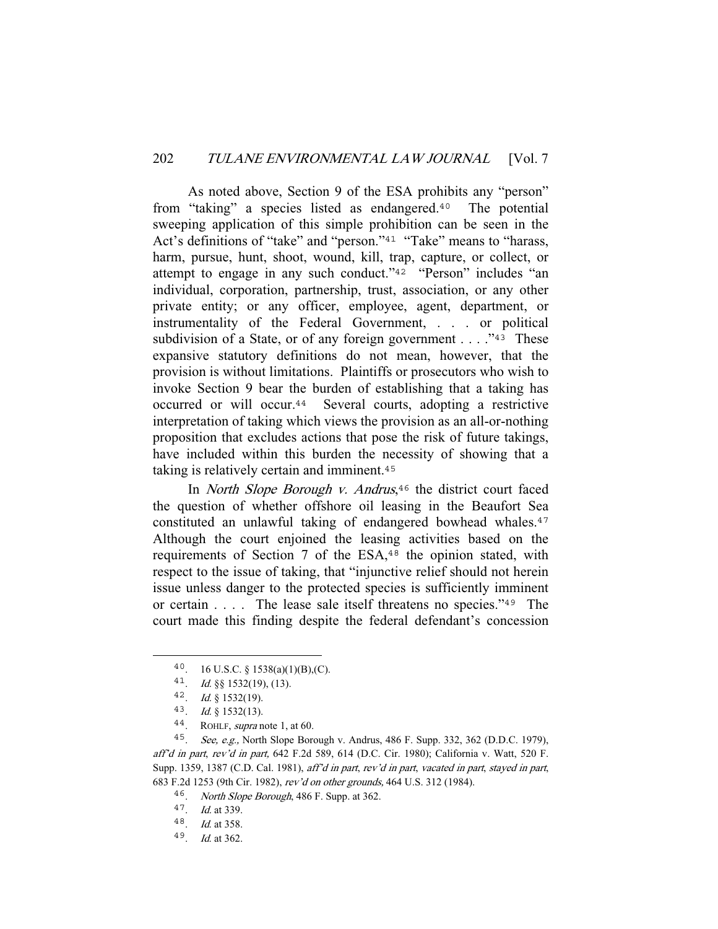As noted above, Section 9 of the ESA prohibits any "person" from "taking" a species listed as endangered.<sup>40</sup> The potential sweeping application of this simple prohibition can be seen in the Act's definitions of "take" and "person."<sup>41</sup> "Take" means to "harass, harm, pursue, hunt, shoot, wound, kill, trap, capture, or collect, or attempt to engage in any such conduct."<sup>42</sup> "Person" includes "an individual, corporation, partnership, trust, association, or any other private entity; or any officer, employee, agent, department, or instrumentality of the Federal Government, . . . or political subdivision of a State, or of any foreign government  $\dots$  ."<sup>43</sup> These expansive statutory definitions do not mean, however, that the provision is without limitations. Plaintiffs or prosecutors who wish to invoke Section 9 bear the burden of establishing that a taking has occurred or will occur.<sup>44</sup> Several courts, adopting a restrictive interpretation of taking which views the provision as an all-or-nothing proposition that excludes actions that pose the risk of future takings, have included within this burden the necessity of showing that a taking is relatively certain and imminent.<sup>45</sup>

In *North Slope Borough v. Andrus*,<sup>46</sup> the district court faced the question of whether offshore oil leasing in the Beaufort Sea constituted an unlawful taking of endangered bowhead whales.<sup>47</sup> Although the court enjoined the leasing activities based on the requirements of Section 7 of the ESA,<sup>48</sup> the opinion stated, with respect to the issue of taking, that "injunctive relief should not herein issue unless danger to the protected species is sufficiently imminent or certain . . . . The lease sale itself threatens no species."<sup>49</sup> The court made this finding despite the federal defendant's concession

<sup>40. 16</sup> U.S.C. § 1538(a)(1)(B),(C).

<sup>41</sup>. Id. §§ 1532(19), (13).

<sup>42</sup>. Id. § 1532(19).

<sup>43</sup>. Id. § 1532(13).

<sup>44</sup>. ROHLF, supra note 1, at 60.

<sup>45</sup>. See, e.g., North Slope Borough v. Andrus, 486 F. Supp. 332, 362 (D.D.C. 1979), aff'd in part, rev'd in part, 642 F.2d 589, 614 (D.C. Cir. 1980); California v. Watt, 520 F. Supp. 1359, 1387 (C.D. Cal. 1981), aff'd in part, rev'd in part, vacated in part, stayed in part, 683 F.2d 1253 (9th Cir. 1982), rev'd on other grounds, 464 U.S. 312 (1984).

<sup>46</sup>. North Slope Borough, 486 F. Supp. at 362.

<sup>47</sup>. Id. at 339.

<sup>48</sup>. Id. at 358.

<sup>49</sup>. Id. at 362.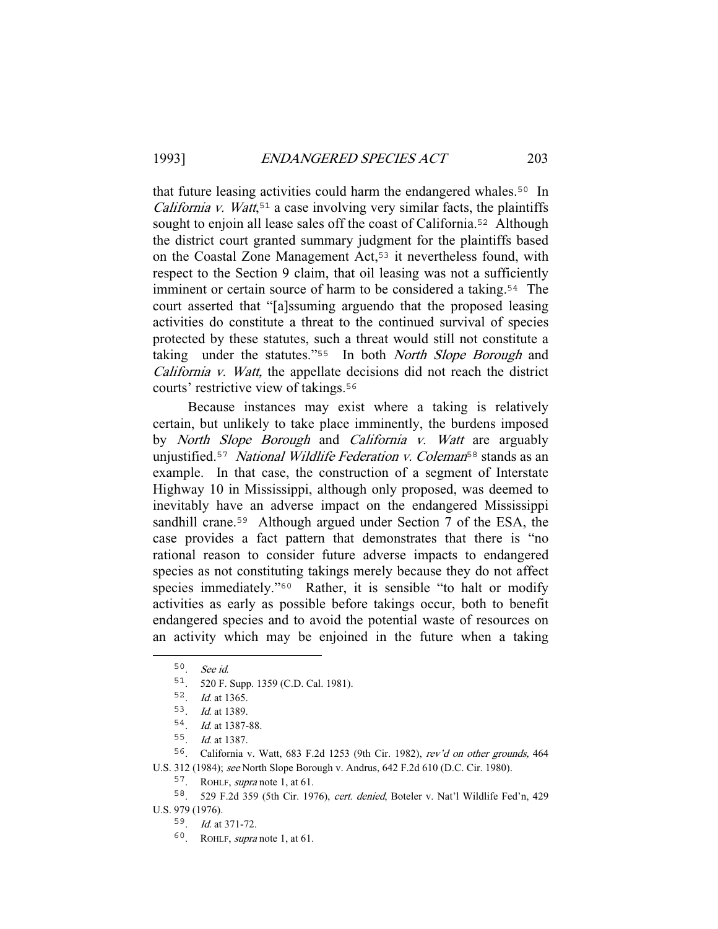that future leasing activities could harm the endangered whales.<sup>50</sup> In *California v. Watt*,<sup>51</sup> a case involving very similar facts, the plaintiffs sought to enjoin all lease sales off the coast of California.<sup>52</sup> Although the district court granted summary judgment for the plaintiffs based on the Coastal Zone Management Act,<sup>53</sup> it nevertheless found, with respect to the Section 9 claim, that oil leasing was not a sufficiently imminent or certain source of harm to be considered a taking.<sup>54</sup> The court asserted that "[a]ssuming arguendo that the proposed leasing activities do constitute a threat to the continued survival of species protected by these statutes, such a threat would still not constitute a taking under the statutes."<sup>55</sup> In both *North Slope Borough* and California v. Watt, the appellate decisions did not reach the district courts' restrictive view of takings.<sup>56</sup>

 Because instances may exist where a taking is relatively certain, but unlikely to take place imminently, the burdens imposed by *North Slope Borough* and *California v. Watt* are arguably unjustified.<sup>57</sup> National Wildlife Federation v. Coleman<sup>58</sup> stands as an example. In that case, the construction of a segment of Interstate Highway 10 in Mississippi, although only proposed, was deemed to inevitably have an adverse impact on the endangered Mississippi sandhill crane.<sup>59</sup> Although argued under Section 7 of the ESA, the case provides a fact pattern that demonstrates that there is "no rational reason to consider future adverse impacts to endangered species as not constituting takings merely because they do not affect species immediately."<sup>60</sup> Rather, it is sensible "to halt or modify" activities as early as possible before takings occur, both to benefit endangered species and to avoid the potential waste of resources on an activity which may be enjoined in the future when a taking

<sup>50</sup>. See id.

<sup>51</sup>. 520 F. Supp. 1359 (C.D. Cal. 1981).

<sup>52</sup>. Id. at 1365.

<sup>53</sup>. Id. at 1389.

<sup>54</sup>. Id. at 1387-88.

<sup>55</sup>. Id. at 1387.

<sup>56</sup>. California v. Watt, 683 F.2d 1253 (9th Cir. 1982), rev'd on other grounds, 464 U.S. 312 (1984); see North Slope Borough v. Andrus, 642 F.2d 610 (D.C. Cir. 1980).

<sup>57</sup>. ROHLF, supra note 1, at 61.

<sup>58</sup>. 529 F.2d 359 (5th Cir. 1976), cert. denied, Boteler v. Nat'l Wildlife Fed'n, 429 U.S. 979 (1976).

<sup>59</sup>. Id. at 371-72.

<sup>60</sup>. ROHLF, supra note 1, at 61.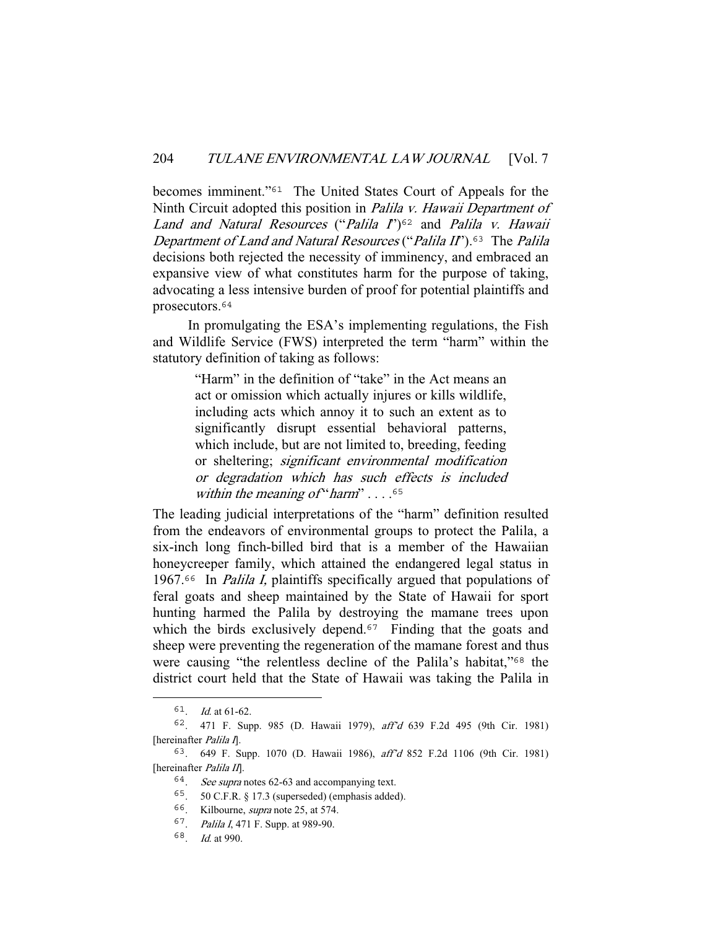becomes imminent."<sup>61</sup> The United States Court of Appeals for the Ninth Circuit adopted this position in *Palila v. Hawaii Department of* Land and Natural Resources ("Palila  $I$ ")<sup>62</sup> and Palila v. Hawaii Department of Land and Natural Resources ("Palila II").<sup>63</sup> The Palila decisions both rejected the necessity of imminency, and embraced an expansive view of what constitutes harm for the purpose of taking, advocating a less intensive burden of proof for potential plaintiffs and prosecutors.<sup>64</sup>

 In promulgating the ESA's implementing regulations, the Fish and Wildlife Service (FWS) interpreted the term "harm" within the statutory definition of taking as follows:

> "Harm" in the definition of "take" in the Act means an act or omission which actually injures or kills wildlife, including acts which annoy it to such an extent as to significantly disrupt essential behavioral patterns, which include, but are not limited to, breeding, feeding or sheltering; significant environmental modification or degradation which has such effects is included within the meaning of "harm"  $\ldots$ .<sup>65</sup>

The leading judicial interpretations of the "harm" definition resulted from the endeavors of environmental groups to protect the Palila, a six-inch long finch-billed bird that is a member of the Hawaiian honeycreeper family, which attained the endangered legal status in 1967.<sup>66</sup> In *Palila I*, plaintiffs specifically argued that populations of feral goats and sheep maintained by the State of Hawaii for sport hunting harmed the Palila by destroying the mamane trees upon which the birds exclusively depend.<sup>67</sup> Finding that the goats and sheep were preventing the regeneration of the mamane forest and thus were causing "the relentless decline of the Palila's habitat,"<sup>68</sup> the district court held that the State of Hawaii was taking the Palila in

 $61.$  *Id.* at 61-62.

<sup>62</sup>. 471 F. Supp. 985 (D. Hawaii 1979), aff'd 639 F.2d 495 (9th Cir. 1981) [hereinafter *Palila I*].

<sup>63</sup>. 649 F. Supp. 1070 (D. Hawaii 1986), aff'd 852 F.2d 1106 (9th Cir. 1981) [hereinafter Palila II].

<sup>64</sup>. See supra notes 62-63 and accompanying text.

<sup>65</sup>. 50 C.F.R. § 17.3 (superseded) (emphasis added).

<sup>66</sup>. Kilbourne, supra note 25, at 574.

<sup>67</sup>. Palila I, 471 F. Supp. at 989-90.

<sup>68</sup>. Id. at 990.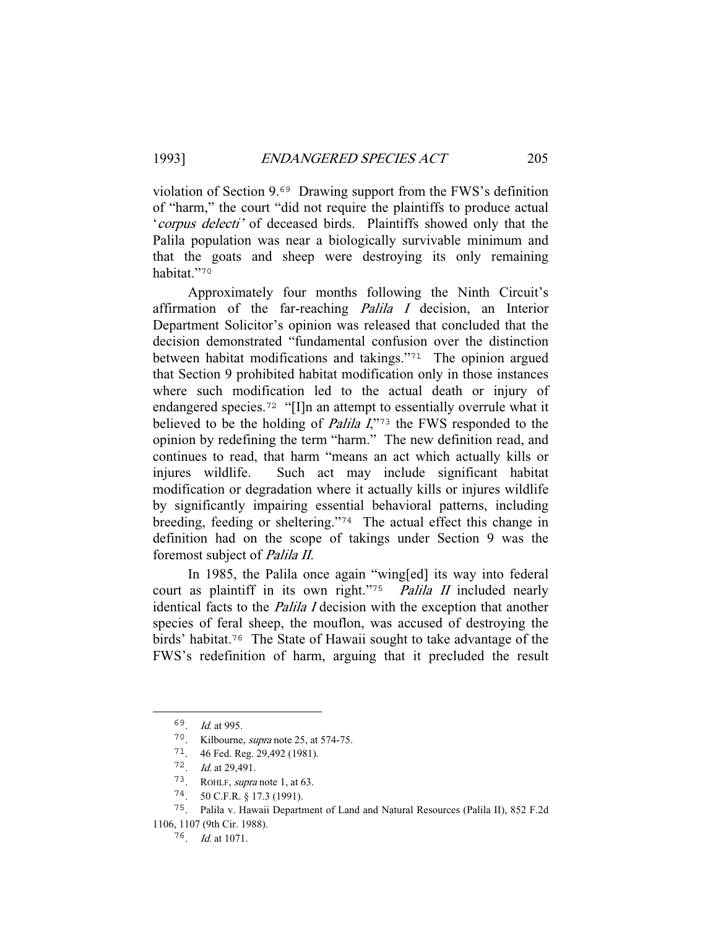violation of Section 9.<sup>69</sup> Drawing support from the FWS's definition of "harm," the court "did not require the plaintiffs to produce actual 'corpus delecti' of deceased birds. Plaintiffs showed only that the Palila population was near a biologically survivable minimum and that the goats and sheep were destroying its only remaining habitat."<sup>70</sup>

 Approximately four months following the Ninth Circuit's affirmation of the far-reaching *Palila I* decision, an Interior Department Solicitor's opinion was released that concluded that the decision demonstrated "fundamental confusion over the distinction between habitat modifications and takings."<sup>71</sup> The opinion argued that Section 9 prohibited habitat modification only in those instances where such modification led to the actual death or injury of endangered species.<sup>72</sup> "[I]n an attempt to essentially overrule what it believed to be the holding of *Palila I*,"73 the FWS responded to the opinion by redefining the term "harm." The new definition read, and continues to read, that harm "means an act which actually kills or injures wildlife. Such act may include significant habitat modification or degradation where it actually kills or injures wildlife by significantly impairing essential behavioral patterns, including breeding, feeding or sheltering."<sup>74</sup> The actual effect this change in definition had on the scope of takings under Section 9 was the foremost subject of Palila II.

 In 1985, the Palila once again "wing[ed] its way into federal court as plaintiff in its own right."<sup>75</sup> Palila II included nearly identical facts to the *Palila I* decision with the exception that another species of feral sheep, the mouflon, was accused of destroying the birds' habitat.<sup>76</sup> The State of Hawaii sought to take advantage of the FWS's redefinition of harm, arguing that it precluded the result

<sup>69</sup>. Id. at 995.

<sup>70</sup>. Kilbourne, supra note 25, at 574-75.

<sup>71</sup>. 46 Fed. Reg. 29,492 (1981).

<sup>72</sup>. Id. at 29,491.

<sup>73</sup>. ROHLF, supra note 1, at 63.

<sup>74</sup>. 50 C.F.R. § 17.3 (1991).

<sup>75</sup>. Palila v. Hawaii Department of Land and Natural Resources (Palila II), 852 F.2d 1106, 1107 (9th Cir. 1988).

<sup>76</sup>. Id. at 1071.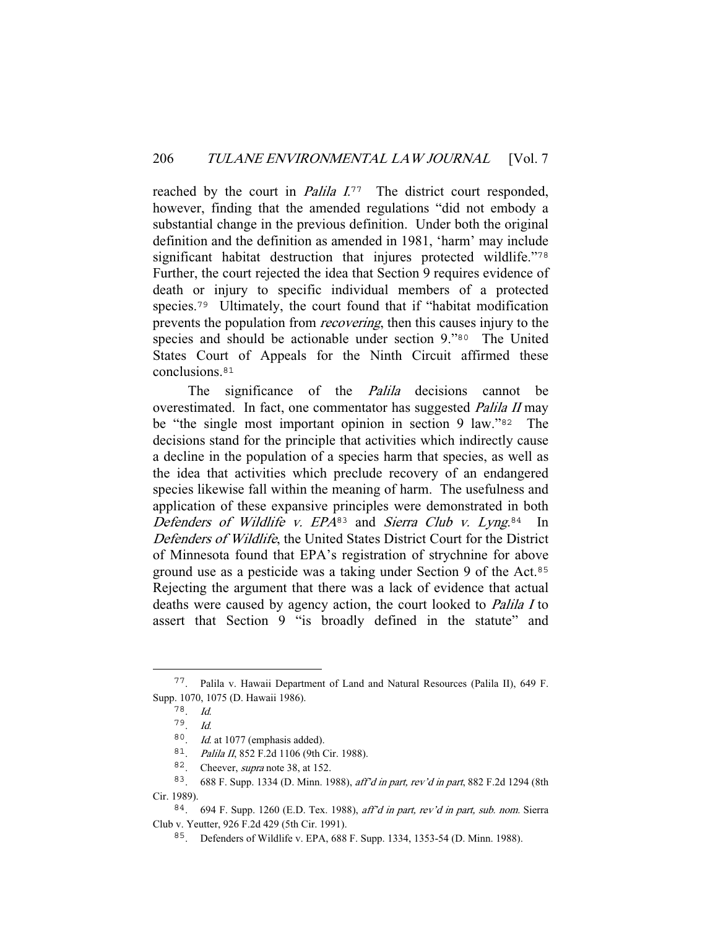reached by the court in *Palila I*.<sup>77</sup> The district court responded, however, finding that the amended regulations "did not embody a substantial change in the previous definition. Under both the original definition and the definition as amended in 1981, 'harm' may include significant habitat destruction that injures protected wildlife."78 Further, the court rejected the idea that Section 9 requires evidence of death or injury to specific individual members of a protected species.<sup>79</sup> Ultimately, the court found that if "habitat modification prevents the population from recovering, then this causes injury to the species and should be actionable under section 9."80 The United States Court of Appeals for the Ninth Circuit affirmed these conclusions.<sup>81</sup>

The significance of the *Palila* decisions cannot be overestimated. In fact, one commentator has suggested Palila II may be "the single most important opinion in section 9 law."<sup>82</sup> The decisions stand for the principle that activities which indirectly cause a decline in the population of a species harm that species, as well as the idea that activities which preclude recovery of an endangered species likewise fall within the meaning of harm. The usefulness and application of these expansive principles were demonstrated in both Defenders of Wildlife v.  $EPA^{83}$  and Sierra Club v. Lyng.<sup>84</sup> In Defenders of Wildlife, the United States District Court for the District of Minnesota found that EPA's registration of strychnine for above ground use as a pesticide was a taking under Section 9 of the Act.<sup>85</sup> Rejecting the argument that there was a lack of evidence that actual deaths were caused by agency action, the court looked to Palila I to assert that Section 9 "is broadly defined in the statute" and

<sup>77</sup>. Palila v. Hawaii Department of Land and Natural Resources (Palila II), 649 F. Supp. 1070, 1075 (D. Hawaii 1986).

<sup>78</sup>. Id.

<sup>79</sup>. Id.

 $80$ . *Id.* at 1077 (emphasis added).

<sup>81</sup>. Palila II, 852 F.2d 1106 (9th Cir. 1988).

<sup>82.</sup> Cheever, *supra* note 38, at 152.

<sup>83</sup>. 688 F. Supp. 1334 (D. Minn. 1988), aff'd in part, rev'd in part, 882 F.2d 1294 (8th Cir. 1989).

<sup>84</sup>. 694 F. Supp. 1260 (E.D. Tex. 1988), aff'd in part, rev'd in part, sub. nom. Sierra Club v. Yeutter, 926 F.2d 429 (5th Cir. 1991).

<sup>85</sup>. Defenders of Wildlife v. EPA, 688 F. Supp. 1334, 1353-54 (D. Minn. 1988).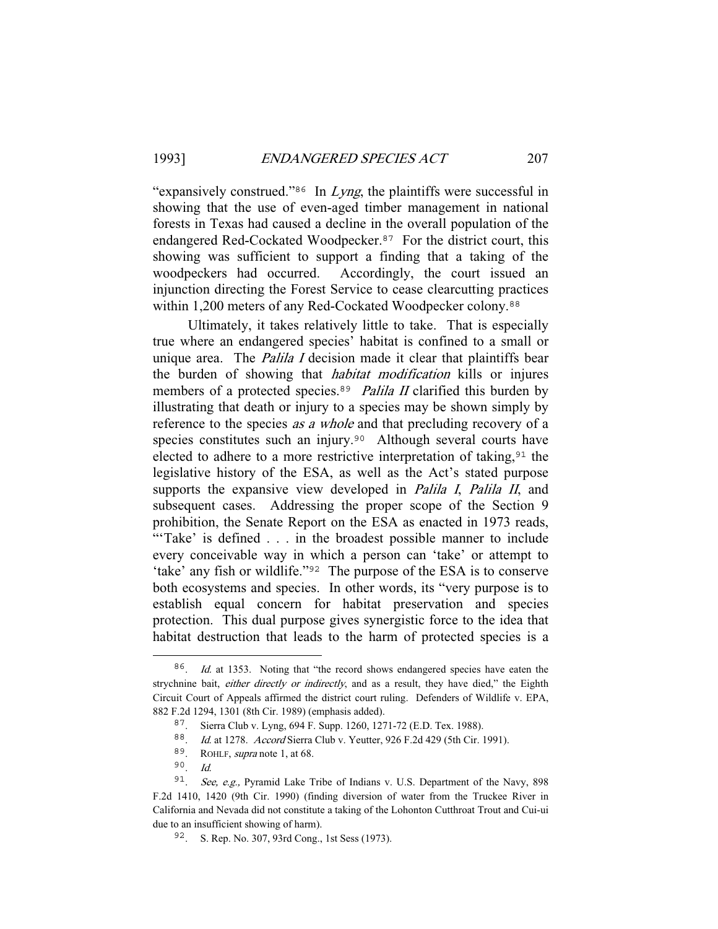"expansively construed."<sup>86</sup> In *Lyng*, the plaintiffs were successful in showing that the use of even-aged timber management in national forests in Texas had caused a decline in the overall population of the endangered Red-Cockated Woodpecker.<sup>87</sup> For the district court, this showing was sufficient to support a finding that a taking of the woodpeckers had occurred. Accordingly, the court issued an injunction directing the Forest Service to cease clearcutting practices within 1,200 meters of any Red-Cockated Woodpecker colony.<sup>88</sup>

 Ultimately, it takes relatively little to take. That is especially true where an endangered species' habitat is confined to a small or unique area. The *Palila I* decision made it clear that plaintiffs bear the burden of showing that *habitat modification* kills or injures members of a protected species.<sup>89</sup> Palila II clarified this burden by illustrating that death or injury to a species may be shown simply by reference to the species *as a whole* and that precluding recovery of a species constitutes such an injury.<sup>90</sup> Although several courts have elected to adhere to a more restrictive interpretation of taking,  $91$  the legislative history of the ESA, as well as the Act's stated purpose supports the expansive view developed in *Palila I*, *Palila II*, and subsequent cases. Addressing the proper scope of the Section 9 prohibition, the Senate Report on the ESA as enacted in 1973 reads, "Take' is defined . . . in the broadest possible manner to include every conceivable way in which a person can 'take' or attempt to 'take' any fish or wildlife."<sup>92</sup> The purpose of the ESA is to conserve both ecosystems and species. In other words, its "very purpose is to establish equal concern for habitat preservation and species protection. This dual purpose gives synergistic force to the idea that habitat destruction that leads to the harm of protected species is a

<sup>&</sup>lt;sup>86</sup>. *Id.* at 1353. Noting that "the record shows endangered species have eaten the strychnine bait, either directly or indirectly, and as a result, they have died," the Eighth Circuit Court of Appeals affirmed the district court ruling. Defenders of Wildlife v. EPA, 882 F.2d 1294, 1301 (8th Cir. 1989) (emphasis added).

<sup>87</sup>. Sierra Club v. Lyng, 694 F. Supp. 1260, 1271-72 (E.D. Tex. 1988).

<sup>88</sup>. Id. at 1278. Accord Sierra Club v. Yeutter, 926 F.2d 429 (5th Cir. 1991).

<sup>89</sup>. ROHLF, supra note 1, at 68.

<sup>90</sup>. Id.

<sup>&</sup>lt;sup>91</sup>. See, e.g., Pyramid Lake Tribe of Indians v. U.S. Department of the Navy, 898 F.2d 1410, 1420 (9th Cir. 1990) (finding diversion of water from the Truckee River in California and Nevada did not constitute a taking of the Lohonton Cutthroat Trout and Cui-ui due to an insufficient showing of harm).

<sup>92</sup>. S. Rep. No. 307, 93rd Cong., 1st Sess (1973).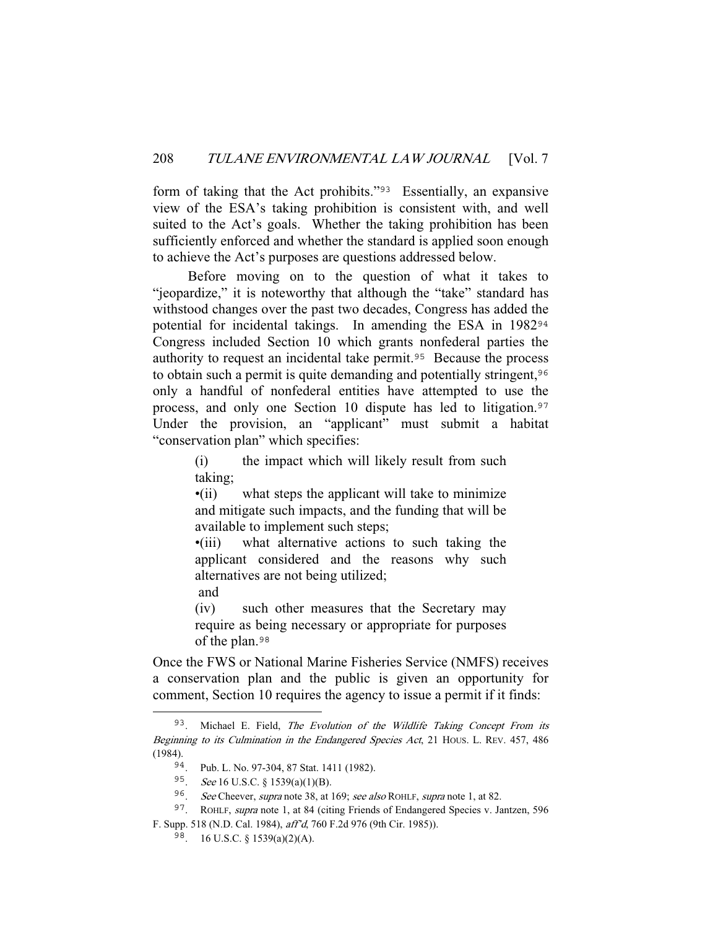form of taking that the Act prohibits."<sup>93</sup> Essentially, an expansive view of the ESA's taking prohibition is consistent with, and well suited to the Act's goals. Whether the taking prohibition has been sufficiently enforced and whether the standard is applied soon enough to achieve the Act's purposes are questions addressed below.

 Before moving on to the question of what it takes to "jeopardize," it is noteworthy that although the "take" standard has withstood changes over the past two decades, Congress has added the potential for incidental takings. In amending the ESA in 1982<sup>94</sup> Congress included Section 10 which grants nonfederal parties the authority to request an incidental take permit.<sup>95</sup> Because the process to obtain such a permit is quite demanding and potentially stringent, <sup>96</sup> only a handful of nonfederal entities have attempted to use the process, and only one Section 10 dispute has led to litigation.<sup>97</sup> Under the provision, an "applicant" must submit a habitat "conservation plan" which specifies:

> (i) the impact which will likely result from such taking;

> •(ii) what steps the applicant will take to minimize and mitigate such impacts, and the funding that will be available to implement such steps;

> •(iii) what alternative actions to such taking the applicant considered and the reasons why such alternatives are not being utilized;

and

(iv) such other measures that the Secretary may require as being necessary or appropriate for purposes of the plan.<sup>98</sup>

Once the FWS or National Marine Fisheries Service (NMFS) receives a conservation plan and the public is given an opportunity for comment, Section 10 requires the agency to issue a permit if it finds:

<sup>93.</sup> Michael E. Field, The Evolution of the Wildlife Taking Concept From its Beginning to its Culmination in the Endangered Species Act, 21 HOUS. L. REV. 457, 486 (1984).

<sup>94</sup>. Pub. L. No. 97-304, 87 Stat. 1411 (1982).

<sup>95</sup>. See 16 U.S.C. § 1539(a)(1)(B).

<sup>96</sup>. See Cheever, supra note 38, at 169; see also ROHLF, supra note 1, at 82.

<sup>&</sup>lt;sup>97</sup>. ROHLF, *supra* note 1, at 84 (citing Friends of Endangered Species v. Jantzen, 596 F. Supp. 518 (N.D. Cal. 1984), aff'd, 760 F.2d 976 (9th Cir. 1985)).

<sup>98</sup>. 16 U.S.C. § 1539(a)(2)(A).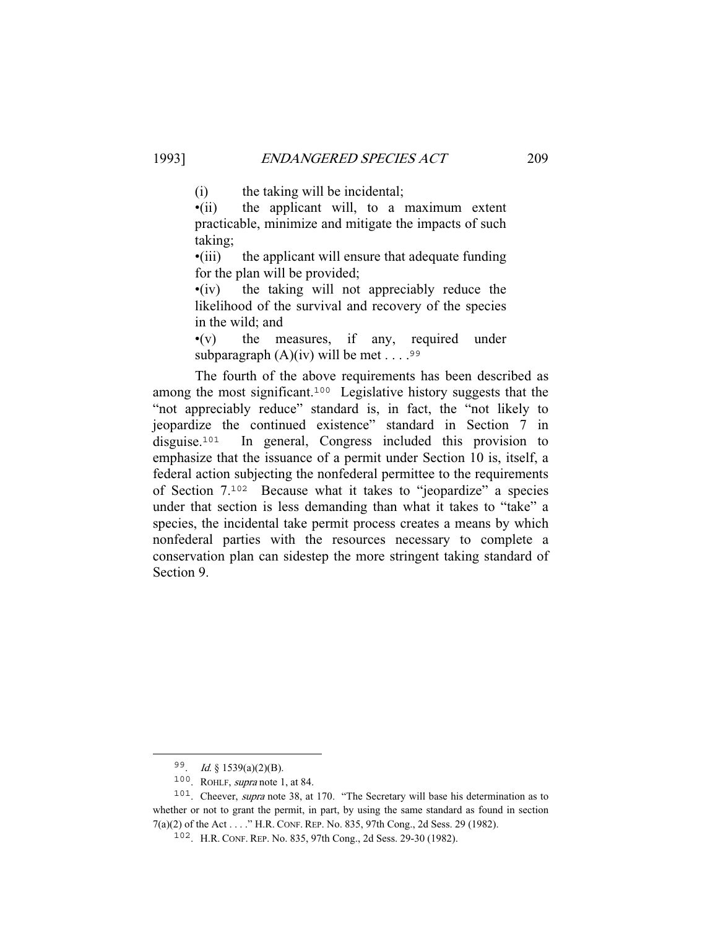(i) the taking will be incidental;

•(ii) the applicant will, to a maximum extent practicable, minimize and mitigate the impacts of such taking;

•(iii) the applicant will ensure that adequate funding for the plan will be provided;

•(iv) the taking will not appreciably reduce the likelihood of the survival and recovery of the species in the wild; and

•(v) the measures, if any, required under subparagraph  $(A)(iv)$  will be met . . . . 99

 The fourth of the above requirements has been described as among the most significant.<sup>100</sup> Legislative history suggests that the "not appreciably reduce" standard is, in fact, the "not likely to jeopardize the continued existence" standard in Section 7 in disguise.<sup>101</sup> In general, Congress included this provision to emphasize that the issuance of a permit under Section 10 is, itself, a federal action subjecting the nonfederal permittee to the requirements of Section 7.<sup>102</sup> Because what it takes to "jeopardize" a species under that section is less demanding than what it takes to "take" a species, the incidental take permit process creates a means by which nonfederal parties with the resources necessary to complete a conservation plan can sidestep the more stringent taking standard of Section 9.

<sup>99</sup>. Id. § 1539(a)(2)(B).

<sup>100</sup>. ROHLF, supra note 1, at 84.

<sup>&</sup>lt;sup>101</sup>. Cheever, *supra* note 38, at 170. "The Secretary will base his determination as to whether or not to grant the permit, in part, by using the same standard as found in section 7(a)(2) of the Act . . . ." H.R. CONF. REP. No. 835, 97th Cong., 2d Sess. 29 (1982).

<sup>102</sup>. H.R. CONF. REP. No. 835, 97th Cong., 2d Sess. 29-30 (1982).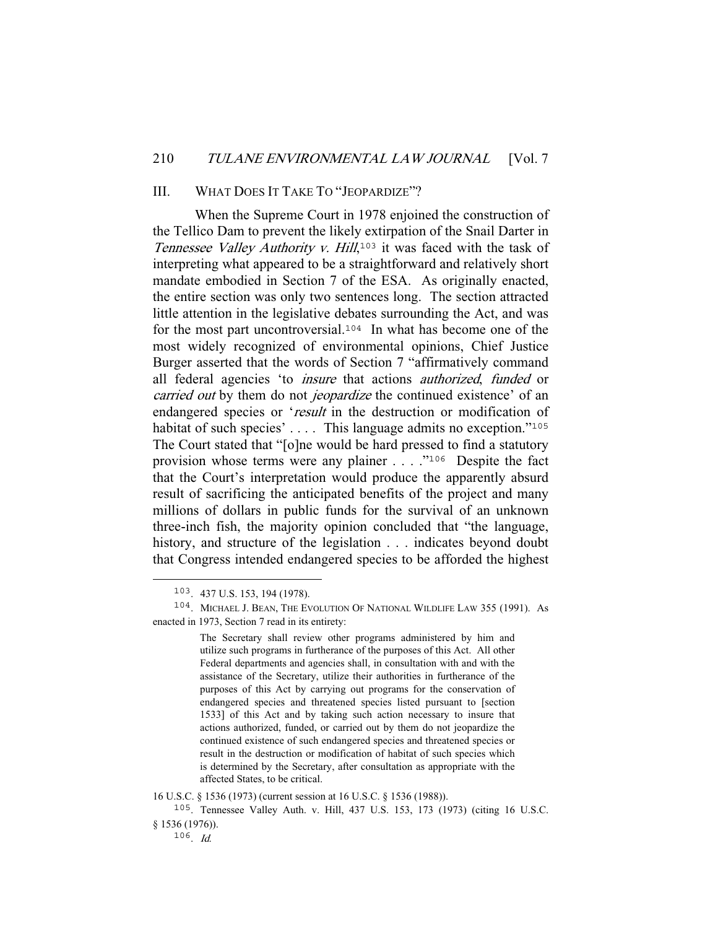### III. WHAT DOES IT TAKE TO "JEOPARDIZE"?

 When the Supreme Court in 1978 enjoined the construction of the Tellico Dam to prevent the likely extirpation of the Snail Darter in Tennessee Valley Authority v. Hill,<sup>103</sup> it was faced with the task of interpreting what appeared to be a straightforward and relatively short mandate embodied in Section 7 of the ESA. As originally enacted, the entire section was only two sentences long. The section attracted little attention in the legislative debates surrounding the Act, and was for the most part uncontroversial.<sup>104</sup> In what has become one of the most widely recognized of environmental opinions, Chief Justice Burger asserted that the words of Section 7 "affirmatively command all federal agencies 'to *insure* that actions *authorized*, *funded* or carried out by them do not *jeopardize* the continued existence' of an endangered species or 'result in the destruction or modification of habitat of such species'  $\dots$ . This language admits no exception."<sup>105</sup> The Court stated that "[o]ne would be hard pressed to find a statutory provision whose terms were any plainer . . . ."<sup>106</sup> Despite the fact that the Court's interpretation would produce the apparently absurd result of sacrificing the anticipated benefits of the project and many millions of dollars in public funds for the survival of an unknown three-inch fish, the majority opinion concluded that "the language, history, and structure of the legislation . . . indicates beyond doubt that Congress intended endangered species to be afforded the highest

<sup>103</sup>. 437 U.S. 153, 194 (1978).

<sup>104</sup>. MICHAEL J. BEAN, THE EVOLUTION OF NATIONAL WILDLIFE LAW 355 (1991). As enacted in 1973, Section 7 read in its entirety:

The Secretary shall review other programs administered by him and utilize such programs in furtherance of the purposes of this Act. All other Federal departments and agencies shall, in consultation with and with the assistance of the Secretary, utilize their authorities in furtherance of the purposes of this Act by carrying out programs for the conservation of endangered species and threatened species listed pursuant to [section 1533] of this Act and by taking such action necessary to insure that actions authorized, funded, or carried out by them do not jeopardize the continued existence of such endangered species and threatened species or result in the destruction or modification of habitat of such species which is determined by the Secretary, after consultation as appropriate with the affected States, to be critical.

<sup>16</sup> U.S.C. § 1536 (1973) (current session at 16 U.S.C. § 1536 (1988)).

<sup>105</sup>. Tennessee Valley Auth. v. Hill, 437 U.S. 153, 173 (1973) (citing 16 U.S.C. § 1536 (1976)).

 $106$ . Id.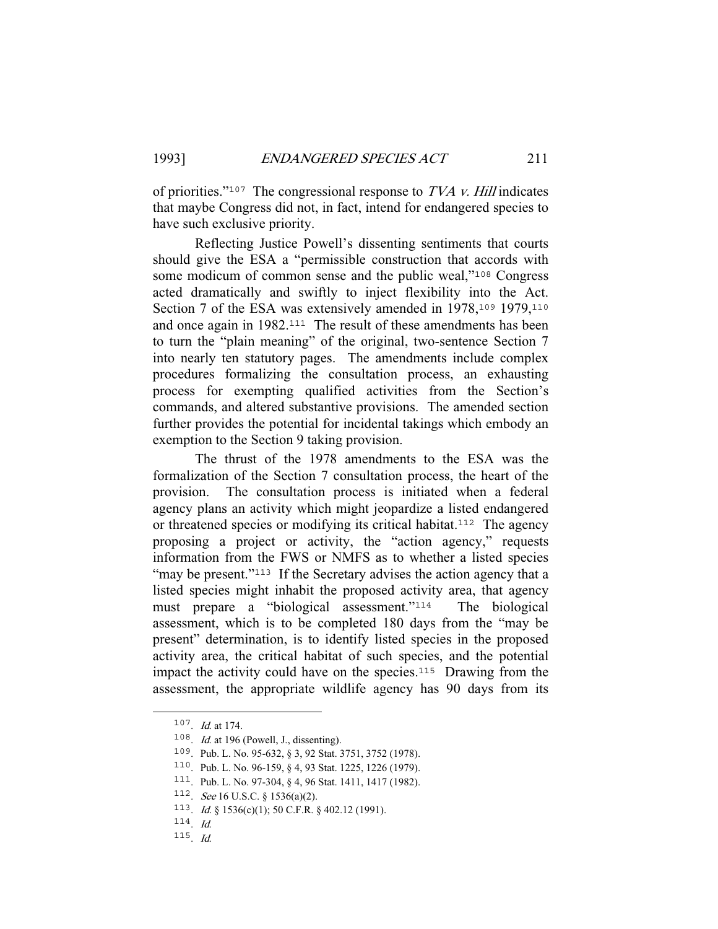of priorities."<sup>107</sup> The congressional response to  $TVA$  v. Hill indicates that maybe Congress did not, in fact, intend for endangered species to have such exclusive priority.

 Reflecting Justice Powell's dissenting sentiments that courts should give the ESA a "permissible construction that accords with some modicum of common sense and the public weal,"<sup>108</sup> Congress acted dramatically and swiftly to inject flexibility into the Act. Section 7 of the ESA was extensively amended in 1978,<sup>109</sup> 1979,<sup>110</sup> and once again in 1982.<sup>111</sup> The result of these amendments has been to turn the "plain meaning" of the original, two-sentence Section 7 into nearly ten statutory pages. The amendments include complex procedures formalizing the consultation process, an exhausting process for exempting qualified activities from the Section's commands, and altered substantive provisions. The amended section further provides the potential for incidental takings which embody an exemption to the Section 9 taking provision.

 The thrust of the 1978 amendments to the ESA was the formalization of the Section 7 consultation process, the heart of the provision. The consultation process is initiated when a federal agency plans an activity which might jeopardize a listed endangered or threatened species or modifying its critical habitat.<sup>112</sup> The agency proposing a project or activity, the "action agency," requests information from the FWS or NMFS as to whether a listed species "may be present."<sup>113</sup> If the Secretary advises the action agency that a listed species might inhabit the proposed activity area, that agency must prepare a "biological assessment."<sup>114</sup> The biological assessment, which is to be completed 180 days from the "may be present" determination, is to identify listed species in the proposed activity area, the critical habitat of such species, and the potential impact the activity could have on the species.<sup>115</sup> Drawing from the assessment, the appropriate wildlife agency has 90 days from its

<sup>107</sup>. Id. at 174.

 $108$ . *Id.* at 196 (Powell, J., dissenting).

<sup>109</sup>. Pub. L. No. 95-632, § 3, 92 Stat. 3751, 3752 (1978).

<sup>110</sup>. Pub. L. No. 96-159, § 4, 93 Stat. 1225, 1226 (1979).

<sup>111</sup>. Pub. L. No. 97-304, § 4, 96 Stat. 1411, 1417 (1982).

<sup>112.</sup> See 16 U.S.C. § 1536(a)(2).

<sup>113</sup>. Id. § 1536(c)(1); 50 C.F.R. § 402.12 (1991).

 $114.$  Id.

<sup>115</sup>. Id.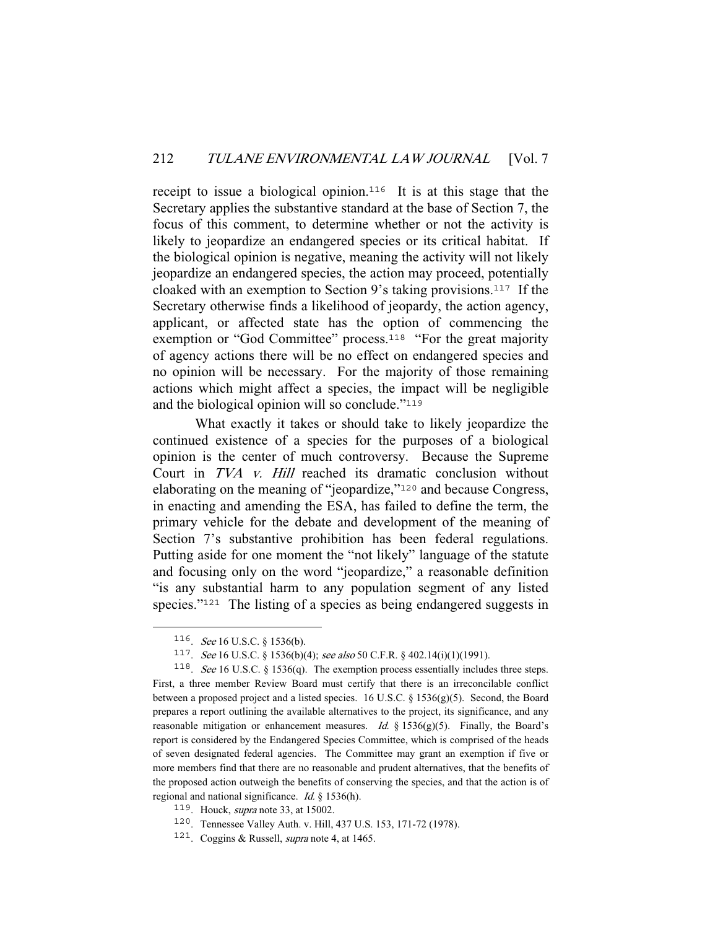receipt to issue a biological opinion.<sup>116</sup> It is at this stage that the Secretary applies the substantive standard at the base of Section 7, the focus of this comment, to determine whether or not the activity is likely to jeopardize an endangered species or its critical habitat. If the biological opinion is negative, meaning the activity will not likely jeopardize an endangered species, the action may proceed, potentially cloaked with an exemption to Section 9's taking provisions.<sup>117</sup> If the Secretary otherwise finds a likelihood of jeopardy, the action agency, applicant, or affected state has the option of commencing the exemption or "God Committee" process.<sup>118</sup> "For the great majority of agency actions there will be no effect on endangered species and no opinion will be necessary. For the majority of those remaining actions which might affect a species, the impact will be negligible and the biological opinion will so conclude."<sup>119</sup>

 What exactly it takes or should take to likely jeopardize the continued existence of a species for the purposes of a biological opinion is the center of much controversy. Because the Supreme Court in TVA v. Hill reached its dramatic conclusion without elaborating on the meaning of "jeopardize,"<sup>120</sup> and because Congress, in enacting and amending the ESA, has failed to define the term, the primary vehicle for the debate and development of the meaning of Section 7's substantive prohibition has been federal regulations. Putting aside for one moment the "not likely" language of the statute and focusing only on the word "jeopardize," a reasonable definition "is any substantial harm to any population segment of any listed species."<sup>121</sup> The listing of a species as being endangered suggests in

<sup>116</sup>. See 16 U.S.C. § 1536(b).

<sup>117.</sup> See 16 U.S.C. § 1536(b)(4); see also 50 C.F.R. § 402.14(i)(1)(1991).

<sup>118</sup>. See 16 U.S.C. § 1536(q). The exemption process essentially includes three steps. First, a three member Review Board must certify that there is an irreconcilable conflict between a proposed project and a listed species. 16 U.S.C. § 1536(g)(5). Second, the Board prepares a report outlining the available alternatives to the project, its significance, and any reasonable mitigation or enhancement measures. Id.  $\S$  1536(g)(5). Finally, the Board's report is considered by the Endangered Species Committee, which is comprised of the heads of seven designated federal agencies. The Committee may grant an exemption if five or more members find that there are no reasonable and prudent alternatives, that the benefits of the proposed action outweigh the benefits of conserving the species, and that the action is of regional and national significance. Id. § 1536(h).

 $119$ . Houck, *supra* note 33, at 15002.

<sup>120</sup>. Tennessee Valley Auth. v. Hill, 437 U.S. 153, 171-72 (1978).

<sup>121</sup>. Coggins & Russell, supra note 4, at 1465.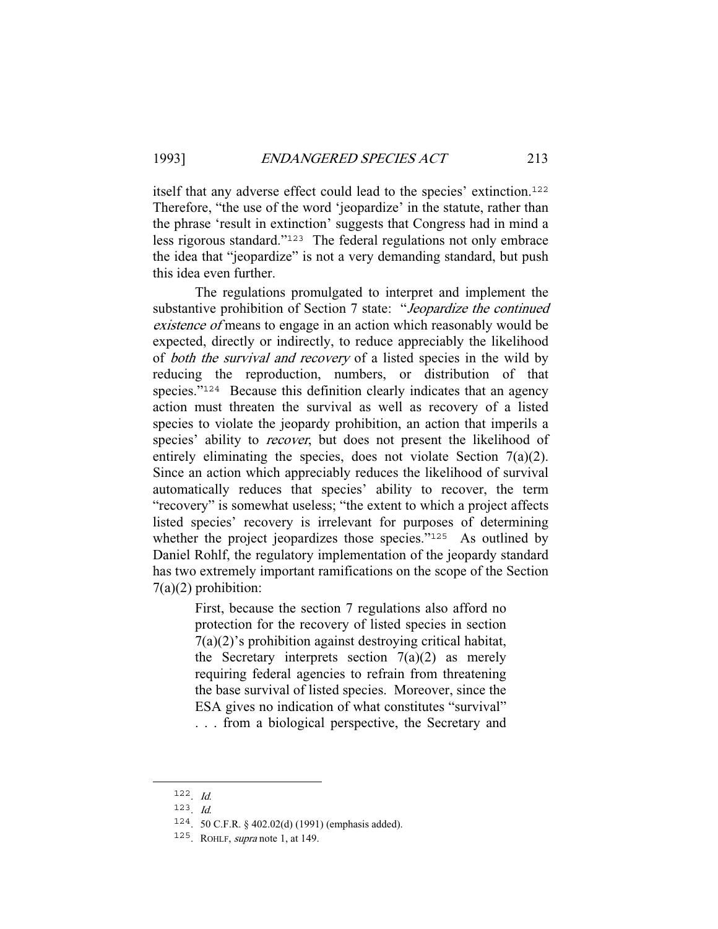itself that any adverse effect could lead to the species' extinction.<sup>122</sup> Therefore, "the use of the word 'jeopardize' in the statute, rather than the phrase 'result in extinction' suggests that Congress had in mind a less rigorous standard."<sup>123</sup> The federal regulations not only embrace the idea that "jeopardize" is not a very demanding standard, but push this idea even further.

 The regulations promulgated to interpret and implement the substantive prohibition of Section 7 state: "Jeopardize the continued existence of means to engage in an action which reasonably would be expected, directly or indirectly, to reduce appreciably the likelihood of *both the survival and recovery* of a listed species in the wild by reducing the reproduction, numbers, or distribution of that species."<sup>124</sup> Because this definition clearly indicates that an agency action must threaten the survival as well as recovery of a listed species to violate the jeopardy prohibition, an action that imperils a species' ability to *recover*, but does not present the likelihood of entirely eliminating the species, does not violate Section 7(a)(2). Since an action which appreciably reduces the likelihood of survival automatically reduces that species' ability to recover, the term "recovery" is somewhat useless; "the extent to which a project affects listed species' recovery is irrelevant for purposes of determining whether the project jeopardizes those species."<sup>125</sup> As outlined by Daniel Rohlf, the regulatory implementation of the jeopardy standard has two extremely important ramifications on the scope of the Section 7(a)(2) prohibition:

> First, because the section 7 regulations also afford no protection for the recovery of listed species in section 7(a)(2)'s prohibition against destroying critical habitat, the Secretary interprets section  $7(a)(2)$  as merely requiring federal agencies to refrain from threatening the base survival of listed species. Moreover, since the ESA gives no indication of what constitutes "survival" . . . from a biological perspective, the Secretary and

<sup>122</sup>. Id.

 $123$ . *Id.* 

<sup>124</sup>. 50 C.F.R. § 402.02(d) (1991) (emphasis added).

<sup>&</sup>lt;sup>125</sup>. ROHLF, *supra* note 1, at 149.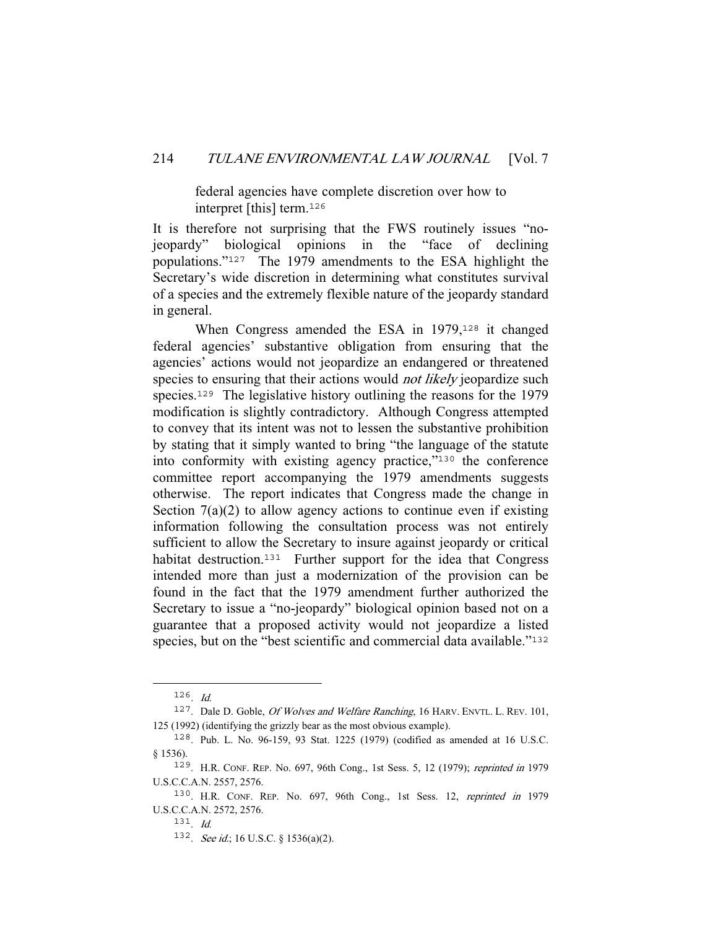federal agencies have complete discretion over how to interpret [this] term.<sup>126</sup>

It is therefore not surprising that the FWS routinely issues "nojeopardy" biological opinions in the "face of declining populations."<sup>127</sup> The 1979 amendments to the ESA highlight the Secretary's wide discretion in determining what constitutes survival of a species and the extremely flexible nature of the jeopardy standard in general.

When Congress amended the ESA in 1979,<sup>128</sup> it changed federal agencies' substantive obligation from ensuring that the agencies' actions would not jeopardize an endangered or threatened species to ensuring that their actions would *not likely* jeopardize such species.<sup>129</sup> The legislative history outlining the reasons for the 1979 modification is slightly contradictory. Although Congress attempted to convey that its intent was not to lessen the substantive prohibition by stating that it simply wanted to bring "the language of the statute into conformity with existing agency practice,"<sup>130</sup> the conference committee report accompanying the 1979 amendments suggests otherwise. The report indicates that Congress made the change in Section  $7(a)(2)$  to allow agency actions to continue even if existing information following the consultation process was not entirely sufficient to allow the Secretary to insure against jeopardy or critical habitat destruction.<sup>131</sup> Further support for the idea that Congress intended more than just a modernization of the provision can be found in the fact that the 1979 amendment further authorized the Secretary to issue a "no-jeopardy" biological opinion based not on a guarantee that a proposed activity would not jeopardize a listed species, but on the "best scientific and commercial data available."<sup>132</sup>

 $126$ . *Id.* 

<sup>&</sup>lt;sup>127</sup>. Dale D. Goble, *Of Wolves and Welfare Ranching*, 16 HARV. ENVTL. L. REV. 101, 125 (1992) (identifying the grizzly bear as the most obvious example).

<sup>128</sup>. Pub. L. No. 96-159, 93 Stat. 1225 (1979) (codified as amended at 16 U.S.C. § 1536).

<sup>129</sup>. H.R. CONF. REP. No. 697, 96th Cong., 1st Sess. 5, 12 (1979); reprinted in 1979 U.S.C.C.A.N. 2557, 2576.

<sup>130</sup>. H.R. CONF. REP. No. 697, 96th Cong., 1st Sess. 12, reprinted in 1979 U.S.C.C.A.N. 2572, 2576.

<sup>131</sup>. Id.

<sup>132.</sup> See id.; 16 U.S.C. § 1536(a)(2).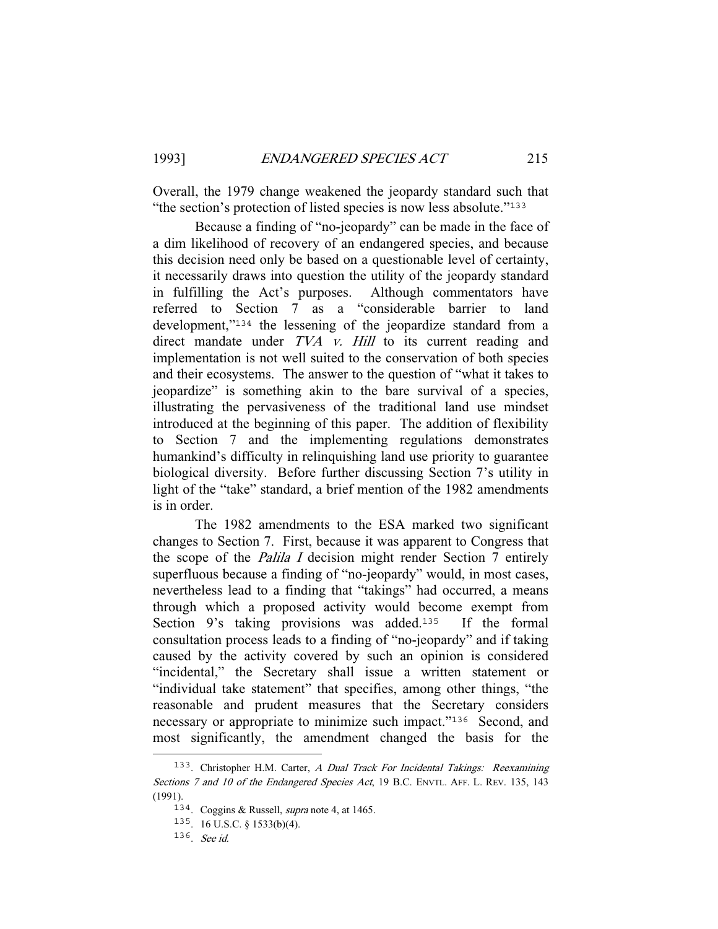Overall, the 1979 change weakened the jeopardy standard such that "the section's protection of listed species is now less absolute."<sup>133</sup>

 Because a finding of "no-jeopardy" can be made in the face of a dim likelihood of recovery of an endangered species, and because this decision need only be based on a questionable level of certainty, it necessarily draws into question the utility of the jeopardy standard in fulfilling the Act's purposes. Although commentators have referred to Section 7 as a "considerable barrier to land development,"<sup>134</sup> the lessening of the jeopardize standard from a direct mandate under TVA v. Hill to its current reading and implementation is not well suited to the conservation of both species and their ecosystems. The answer to the question of "what it takes to jeopardize" is something akin to the bare survival of a species, illustrating the pervasiveness of the traditional land use mindset introduced at the beginning of this paper. The addition of flexibility to Section 7 and the implementing regulations demonstrates humankind's difficulty in relinquishing land use priority to guarantee biological diversity. Before further discussing Section 7's utility in light of the "take" standard, a brief mention of the 1982 amendments is in order.

 The 1982 amendments to the ESA marked two significant changes to Section 7. First, because it was apparent to Congress that the scope of the Palila I decision might render Section 7 entirely superfluous because a finding of "no-jeopardy" would, in most cases, nevertheless lead to a finding that "takings" had occurred, a means through which a proposed activity would become exempt from Section  $9$ 's taking provisions was added.<sup>135</sup> If the formal consultation process leads to a finding of "no-jeopardy" and if taking caused by the activity covered by such an opinion is considered "incidental," the Secretary shall issue a written statement or "individual take statement" that specifies, among other things, "the reasonable and prudent measures that the Secretary considers necessary or appropriate to minimize such impact."<sup>136</sup> Second, and most significantly, the amendment changed the basis for the

<sup>133</sup>. Christopher H.M. Carter, A Dual Track For Incidental Takings: Reexamining Sections 7 and 10 of the Endangered Species Act, 19 B.C. ENVTL. AFF. L. REV. 135, 143 (1991).

<sup>134</sup>. Coggins & Russell, supra note 4, at 1465.

<sup>135</sup>. 16 U.S.C. § 1533(b)(4).

<sup>136</sup>. See id.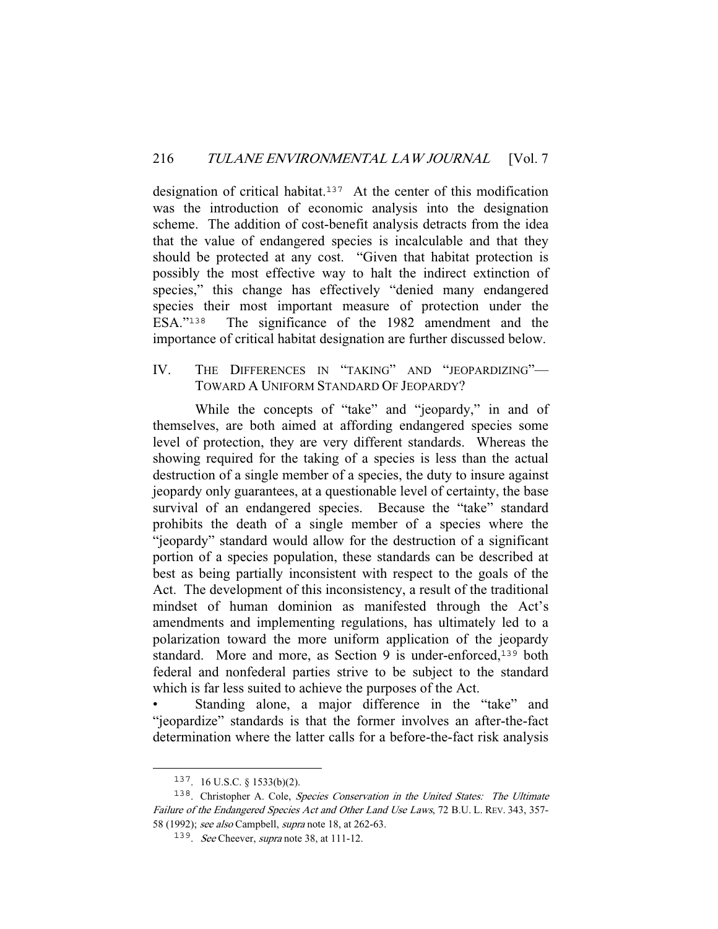designation of critical habitat.<sup>137</sup> At the center of this modification was the introduction of economic analysis into the designation scheme. The addition of cost-benefit analysis detracts from the idea that the value of endangered species is incalculable and that they should be protected at any cost. "Given that habitat protection is possibly the most effective way to halt the indirect extinction of species," this change has effectively "denied many endangered species their most important measure of protection under the ESA."<sup>138</sup> The significance of the 1982 amendment and the The significance of the 1982 amendment and the importance of critical habitat designation are further discussed below.

## IV. THE DIFFERENCES IN "TAKING" AND "JEOPARDIZING"— TOWARD A UNIFORM STANDARD OF JEOPARDY?

While the concepts of "take" and "jeopardy," in and of themselves, are both aimed at affording endangered species some level of protection, they are very different standards. Whereas the showing required for the taking of a species is less than the actual destruction of a single member of a species, the duty to insure against jeopardy only guarantees, at a questionable level of certainty, the base survival of an endangered species. Because the "take" standard prohibits the death of a single member of a species where the "jeopardy" standard would allow for the destruction of a significant portion of a species population, these standards can be described at best as being partially inconsistent with respect to the goals of the Act. The development of this inconsistency, a result of the traditional mindset of human dominion as manifested through the Act's amendments and implementing regulations, has ultimately led to a polarization toward the more uniform application of the jeopardy standard. More and more, as Section 9 is under-enforced,<sup>139</sup> both federal and nonfederal parties strive to be subject to the standard which is far less suited to achieve the purposes of the Act.

Standing alone, a major difference in the "take" and "jeopardize" standards is that the former involves an after-the-fact determination where the latter calls for a before-the-fact risk analysis

<sup>137</sup>. 16 U.S.C. § 1533(b)(2).

<sup>&</sup>lt;sup>138</sup>. Christopher A. Cole, *Species Conservation in the United States:* The Ultimate Failure of the Endangered Species Act and Other Land Use Laws, 72 B.U. L. REV. 343, 357-58 (1992); see also Campbell, supra note 18, at 262-63.

<sup>&</sup>lt;sup>139</sup>. See Cheever, supra note 38, at 111-12.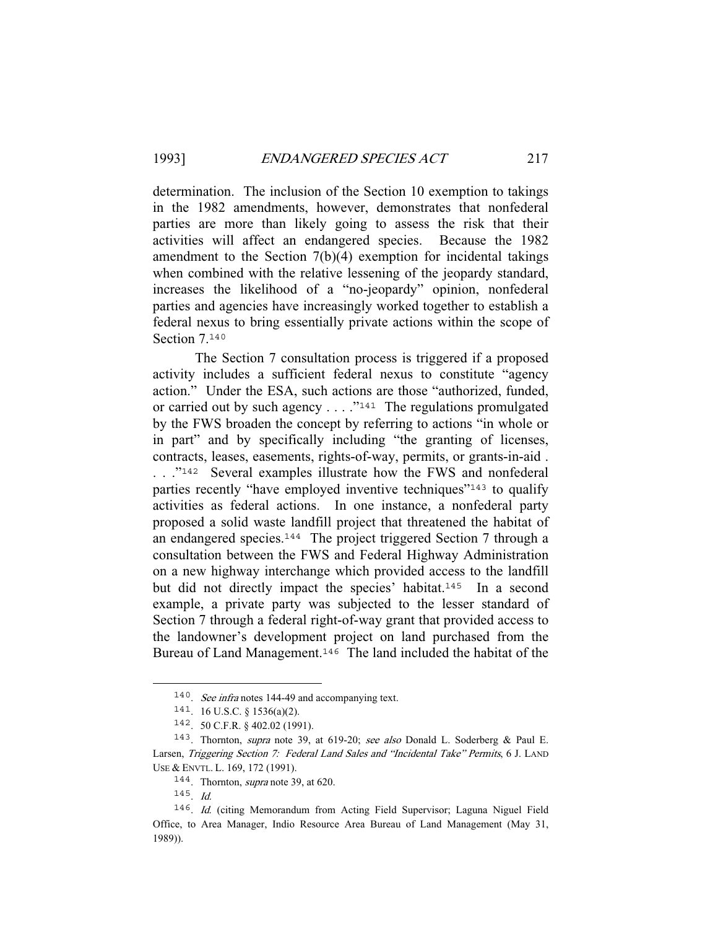determination. The inclusion of the Section 10 exemption to takings in the 1982 amendments, however, demonstrates that nonfederal parties are more than likely going to assess the risk that their activities will affect an endangered species. Because the 1982 amendment to the Section 7(b)(4) exemption for incidental takings when combined with the relative lessening of the jeopardy standard, increases the likelihood of a "no-jeopardy" opinion, nonfederal parties and agencies have increasingly worked together to establish a federal nexus to bring essentially private actions within the scope of Section 7.140

 The Section 7 consultation process is triggered if a proposed activity includes a sufficient federal nexus to constitute "agency action." Under the ESA, such actions are those "authorized, funded, or carried out by such agency  $\dots$  ."<sup>141</sup> The regulations promulgated by the FWS broaden the concept by referring to actions "in whole or in part" and by specifically including "the granting of licenses, contracts, leases, easements, rights-of-way, permits, or grants-in-aid . . . . .<sup>"142</sup> Several examples illustrate how the FWS and nonfederal parties recently "have employed inventive techniques"<sup>143</sup> to qualify activities as federal actions. In one instance, a nonfederal party proposed a solid waste landfill project that threatened the habitat of an endangered species.<sup>144</sup> The project triggered Section 7 through a consultation between the FWS and Federal Highway Administration on a new highway interchange which provided access to the landfill but did not directly impact the species' habitat.<sup>145</sup> In a second example, a private party was subjected to the lesser standard of Section 7 through a federal right-of-way grant that provided access to the landowner's development project on land purchased from the Bureau of Land Management.<sup>146</sup> The land included the habitat of the

<sup>140</sup>. See infra notes 144-49 and accompanying text.

<sup>141</sup>. 16 U.S.C. § 1536(a)(2).

<sup>142</sup>. 50 C.F.R. § 402.02 (1991).

<sup>143</sup>. Thornton, supra note 39, at 619-20; see also Donald L. Soderberg & Paul E. Larsen, Triggering Section 7: Federal Land Sales and "Incidental Take" Permits, 6 J. LAND USE & ENVTL. L. 169, 172 (1991).

<sup>144</sup>. Thornton, supra note 39, at 620.

 $145$ . *Id.* 

<sup>146</sup>. Id. (citing Memorandum from Acting Field Supervisor; Laguna Niguel Field Office, to Area Manager, Indio Resource Area Bureau of Land Management (May 31, 1989)).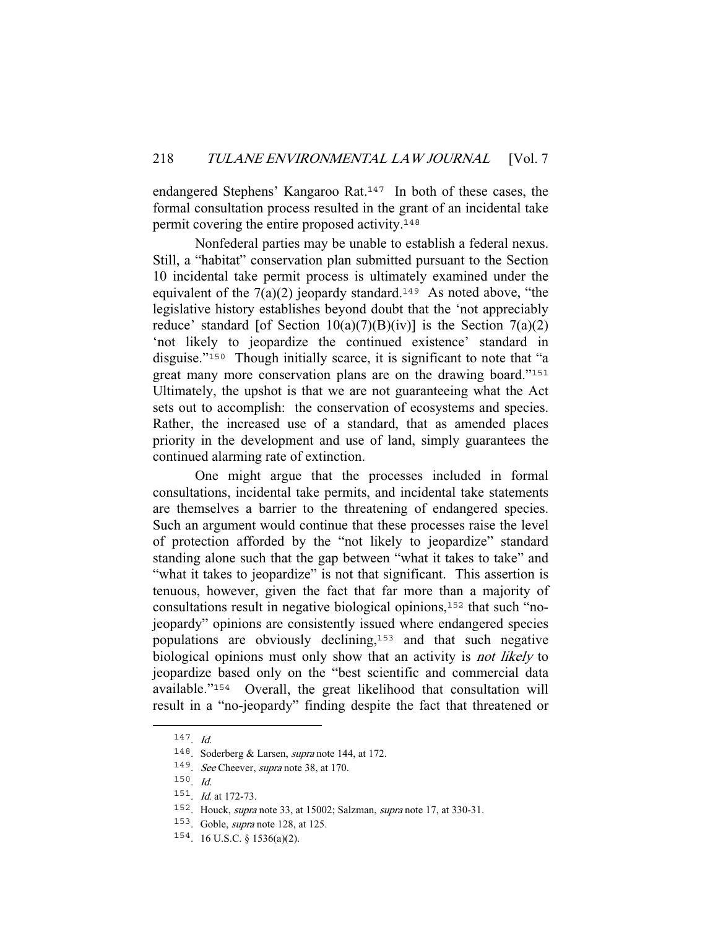endangered Stephens' Kangaroo Rat.<sup>147</sup> In both of these cases, the formal consultation process resulted in the grant of an incidental take permit covering the entire proposed activity.<sup>148</sup>

 Nonfederal parties may be unable to establish a federal nexus. Still, a "habitat" conservation plan submitted pursuant to the Section 10 incidental take permit process is ultimately examined under the equivalent of the  $7(a)(2)$  jeopardy standard.<sup>149</sup> As noted above, "the legislative history establishes beyond doubt that the 'not appreciably reduce' standard [of Section  $10(a)(7)(B)(iv)$ ] is the Section  $7(a)(2)$ 'not likely to jeopardize the continued existence' standard in disguise."<sup>150</sup> Though initially scarce, it is significant to note that "a great many more conservation plans are on the drawing board."<sup>151</sup> Ultimately, the upshot is that we are not guaranteeing what the Act sets out to accomplish: the conservation of ecosystems and species. Rather, the increased use of a standard, that as amended places priority in the development and use of land, simply guarantees the continued alarming rate of extinction.

 One might argue that the processes included in formal consultations, incidental take permits, and incidental take statements are themselves a barrier to the threatening of endangered species. Such an argument would continue that these processes raise the level of protection afforded by the "not likely to jeopardize" standard standing alone such that the gap between "what it takes to take" and "what it takes to jeopardize" is not that significant. This assertion is tenuous, however, given the fact that far more than a majority of consultations result in negative biological opinions,152 that such "nojeopardy" opinions are consistently issued where endangered species populations are obviously declining,<sup>153</sup> and that such negative biological opinions must only show that an activity is *not likely* to jeopardize based only on the "best scientific and commercial data available."<sup>154</sup> Overall, the great likelihood that consultation will result in a "no-jeopardy" finding despite the fact that threatened or

<sup>147</sup>. Id.

<sup>148</sup>. Soderberg & Larsen, supra note 144, at 172.

<sup>149</sup>. See Cheever, supra note 38, at 170.

<sup>150</sup>. Id.

<sup>151</sup>. Id. at 172-73.

<sup>152</sup>. Houck, supra note 33, at 15002; Salzman, supra note 17, at 330-31.

<sup>153</sup>. Goble, supra note 128, at 125.

<sup>154</sup>. 16 U.S.C. § 1536(a)(2).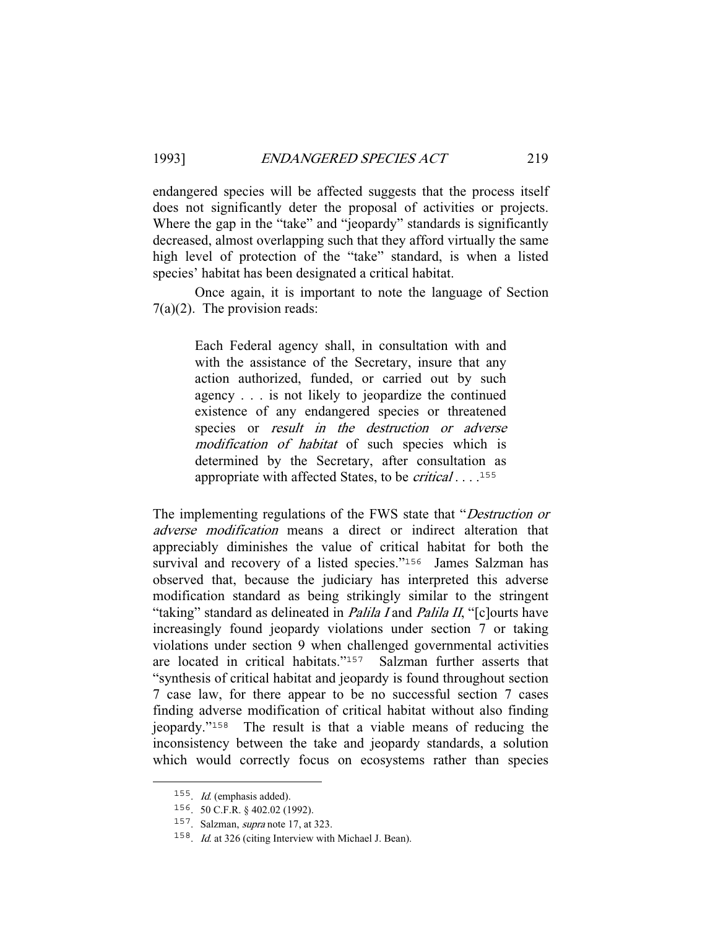endangered species will be affected suggests that the process itself does not significantly deter the proposal of activities or projects. Where the gap in the "take" and "jeopardy" standards is significantly decreased, almost overlapping such that they afford virtually the same high level of protection of the "take" standard, is when a listed species' habitat has been designated a critical habitat.

 Once again, it is important to note the language of Section 7(a)(2). The provision reads:

> Each Federal agency shall, in consultation with and with the assistance of the Secretary, insure that any action authorized, funded, or carried out by such agency . . . is not likely to jeopardize the continued existence of any endangered species or threatened species or *result in the destruction or adverse* modification of habitat of such species which is determined by the Secretary, after consultation as appropriate with affected States, to be *critical* . . . .<sup>155</sup>

The implementing regulations of the FWS state that "Destruction or adverse modification means a direct or indirect alteration that appreciably diminishes the value of critical habitat for both the survival and recovery of a listed species."<sup>156</sup> James Salzman has observed that, because the judiciary has interpreted this adverse modification standard as being strikingly similar to the stringent "taking" standard as delineated in *Palila I* and *Palila II*, "[c]ourts have increasingly found jeopardy violations under section 7 or taking violations under section 9 when challenged governmental activities are located in critical habitats."<sup>157</sup> Salzman further asserts that "synthesis of critical habitat and jeopardy is found throughout section 7 case law, for there appear to be no successful section 7 cases finding adverse modification of critical habitat without also finding jeopardy."<sup>158</sup> The result is that a viable means of reducing the inconsistency between the take and jeopardy standards, a solution which would correctly focus on ecosystems rather than species

<sup>155</sup>. Id. (emphasis added).

<sup>156</sup>. 50 C.F.R. § 402.02 (1992).

<sup>157</sup>. Salzman, supra note 17, at 323.

<sup>&</sup>lt;sup>158</sup>. *Id.* at 326 (citing Interview with Michael J. Bean).